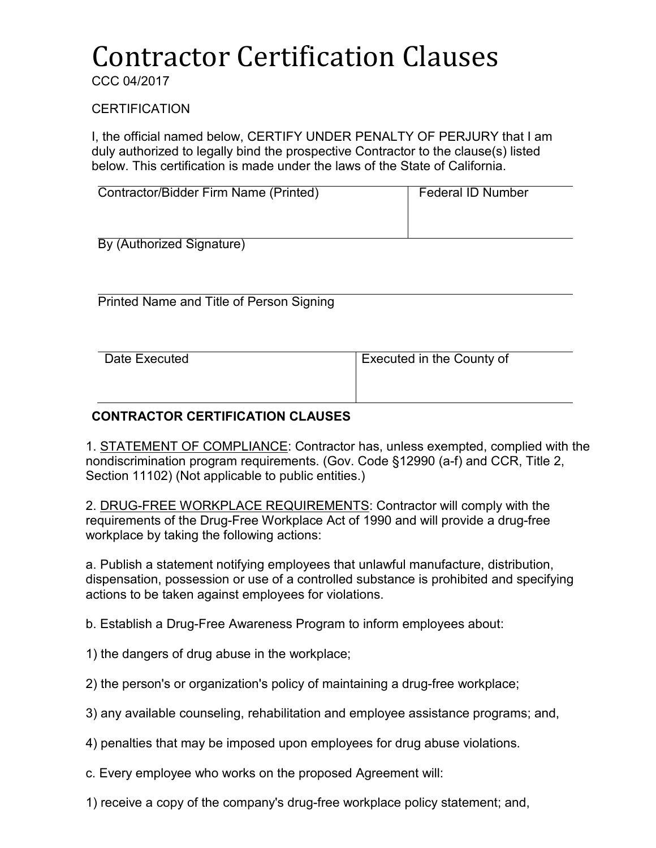# Contractor Certification Clauses

CCC 04/2017

**CERTIFICATION** 

I, the official named below, CERTIFY UNDER PENALTY OF PERJURY that I am duly authorized to legally bind the prospective Contractor to the clause(s) listed below. This certification is made under the laws of the State of California.

| Contractor/Bidder Firm Name (Printed) | <b>Federal ID Number</b> |
|---------------------------------------|--------------------------|
| By (Authorized Signature)             |                          |

Printed Name and Title of Person Signing

| Date Executed | Executed in the County of |
|---------------|---------------------------|
|               |                           |
|               |                           |

### **CONTRACTOR CERTIFICATION CLAUSES**

1. STATEMENT OF COMPLIANCE: Contractor has, unless exempted, complied with the nondiscrimination program requirements. (Gov. Code §12990 (a-f) and CCR, Title 2, Section 11102) (Not applicable to public entities.)

2. DRUG-FREE WORKPLACE REQUIREMENTS: Contractor will comply with the requirements of the Drug-Free Workplace Act of 1990 and will provide a drug-free workplace by taking the following actions:

a. Publish a statement notifying employees that unlawful manufacture, distribution, dispensation, possession or use of a controlled substance is prohibited and specifying actions to be taken against employees for violations.

b. Establish a Drug-Free Awareness Program to inform employees about:

- 1) the dangers of drug abuse in the workplace;
- 2) the person's or organization's policy of maintaining a drug-free workplace;
- 3) any available counseling, rehabilitation and employee assistance programs; and,

4) penalties that may be imposed upon employees for drug abuse violations.

- c. Every employee who works on the proposed Agreement will:
- 1) receive a copy of the company's drug-free workplace policy statement; and,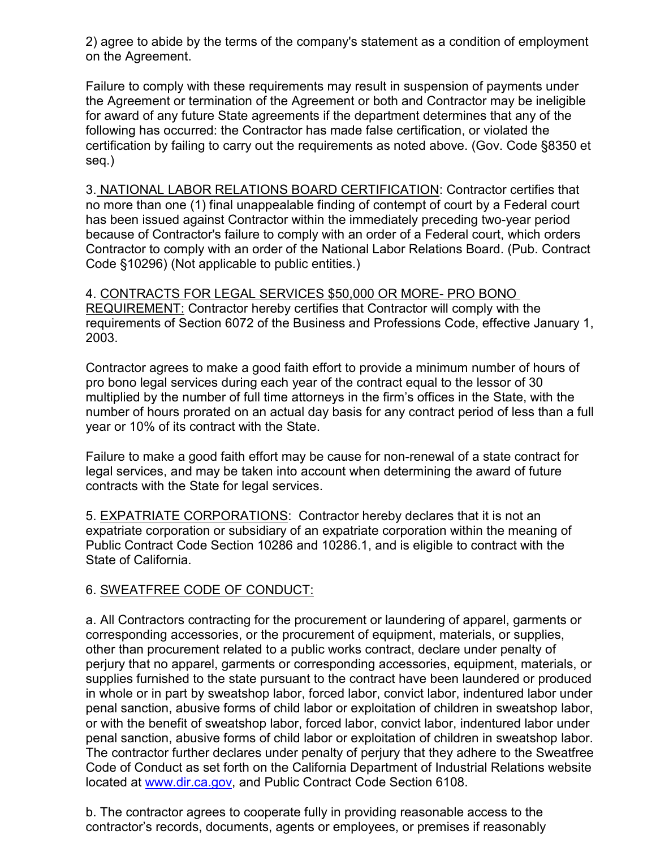2) agree to abide by the terms of the company's statement as a condition of employment on the Agreement.

Failure to comply with these requirements may result in suspension of payments under the Agreement or termination of the Agreement or both and Contractor may be ineligible for award of any future State agreements if the department determines that any of the following has occurred: the Contractor has made false certification, or violated the certification by failing to carry out the requirements as noted above. (Gov. Code §8350 et seq.)

3. NATIONAL LABOR RELATIONS BOARD CERTIFICATION: Contractor certifies that no more than one (1) final unappealable finding of contempt of court by a Federal court has been issued against Contractor within the immediately preceding two-year period because of Contractor's failure to comply with an order of a Federal court, which orders Contractor to comply with an order of the National Labor Relations Board. (Pub. Contract Code §10296) (Not applicable to public entities.)

4. CONTRACTS FOR LEGAL SERVICES \$50,000 OR MORE- PRO BONO REQUIREMENT: Contractor hereby certifies that Contractor will comply with the requirements of Section 6072 of the Business and Professions Code, effective January 1, 2003.

Contractor agrees to make a good faith effort to provide a minimum number of hours of pro bono legal services during each year of the contract equal to the lessor of 30 multiplied by the number of full time attorneys in the firm's offices in the State, with the number of hours prorated on an actual day basis for any contract period of less than a full year or 10% of its contract with the State.

Failure to make a good faith effort may be cause for non-renewal of a state contract for legal services, and may be taken into account when determining the award of future contracts with the State for legal services.

5. EXPATRIATE CORPORATIONS: Contractor hereby declares that it is not an expatriate corporation or subsidiary of an expatriate corporation within the meaning of Public Contract Code Section 10286 and 10286.1, and is eligible to contract with the State of California.

## 6. SWEATFREE CODE OF CONDUCT:

a. All Contractors contracting for the procurement or laundering of apparel, garments or corresponding accessories, or the procurement of equipment, materials, or supplies, other than procurement related to a public works contract, declare under penalty of perjury that no apparel, garments or corresponding accessories, equipment, materials, or supplies furnished to the state pursuant to the contract have been laundered or produced in whole or in part by sweatshop labor, forced labor, convict labor, indentured labor under penal sanction, abusive forms of child labor or exploitation of children in sweatshop labor, or with the benefit of sweatshop labor, forced labor, convict labor, indentured labor under penal sanction, abusive forms of child labor or exploitation of children in sweatshop labor. The contractor further declares under penalty of perjury that they adhere to the Sweatfree Code of Conduct as set forth on the California Department of Industrial Relations website located at [www.dir.ca.gov,](http://www.dir.ca.gov/) and Public Contract Code Section 6108.

b. The contractor agrees to cooperate fully in providing reasonable access to the contractor's records, documents, agents or employees, or premises if reasonably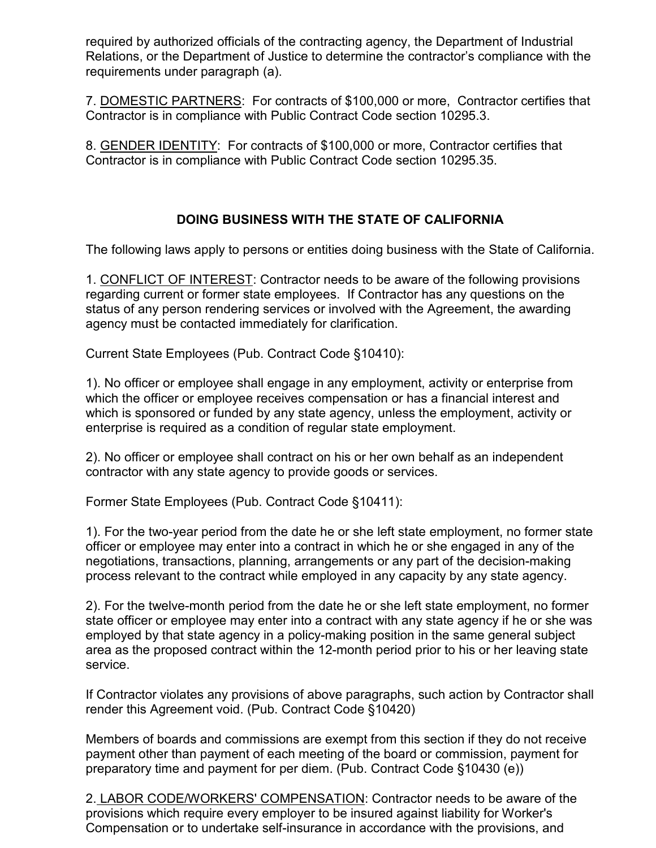required by authorized officials of the contracting agency, the Department of Industrial Relations, or the Department of Justice to determine the contractor's compliance with the requirements under paragraph (a).

7. DOMESTIC PARTNERS: For contracts of \$100,000 or more, Contractor certifies that Contractor is in compliance with Public Contract Code section 10295.3.

8. GENDER IDENTITY: For contracts of \$100,000 or more, Contractor certifies that Contractor is in compliance with Public Contract Code section 10295.35.

## **DOING BUSINESS WITH THE STATE OF CALIFORNIA**

The following laws apply to persons or entities doing business with the State of California.

1. CONFLICT OF INTEREST: Contractor needs to be aware of the following provisions regarding current or former state employees. If Contractor has any questions on the status of any person rendering services or involved with the Agreement, the awarding agency must be contacted immediately for clarification.

Current State Employees (Pub. Contract Code §10410):

1). No officer or employee shall engage in any employment, activity or enterprise from which the officer or employee receives compensation or has a financial interest and which is sponsored or funded by any state agency, unless the employment, activity or enterprise is required as a condition of regular state employment.

2). No officer or employee shall contract on his or her own behalf as an independent contractor with any state agency to provide goods or services.

Former State Employees (Pub. Contract Code §10411):

1). For the two-year period from the date he or she left state employment, no former state officer or employee may enter into a contract in which he or she engaged in any of the negotiations, transactions, planning, arrangements or any part of the decision-making process relevant to the contract while employed in any capacity by any state agency.

2). For the twelve-month period from the date he or she left state employment, no former state officer or employee may enter into a contract with any state agency if he or she was employed by that state agency in a policy-making position in the same general subject area as the proposed contract within the 12-month period prior to his or her leaving state service.

If Contractor violates any provisions of above paragraphs, such action by Contractor shall render this Agreement void. (Pub. Contract Code §10420)

Members of boards and commissions are exempt from this section if they do not receive payment other than payment of each meeting of the board or commission, payment for preparatory time and payment for per diem. (Pub. Contract Code §10430 (e))

2. LABOR CODE/WORKERS' COMPENSATION: Contractor needs to be aware of the provisions which require every employer to be insured against liability for Worker's Compensation or to undertake self-insurance in accordance with the provisions, and